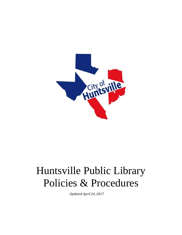

# <span id="page-0-0"></span>Huntsville Public Library Policies & Procedures

*Updated April 24, 2017*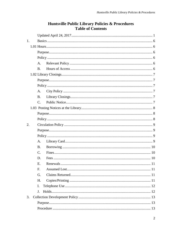| 1. |                      |  |  |  |  |
|----|----------------------|--|--|--|--|
|    |                      |  |  |  |  |
|    |                      |  |  |  |  |
|    |                      |  |  |  |  |
|    | A.                   |  |  |  |  |
|    | <b>B.</b>            |  |  |  |  |
|    |                      |  |  |  |  |
|    |                      |  |  |  |  |
|    |                      |  |  |  |  |
|    | A.                   |  |  |  |  |
|    | <b>B.</b>            |  |  |  |  |
|    | $C_{\cdot}$          |  |  |  |  |
|    |                      |  |  |  |  |
|    |                      |  |  |  |  |
|    |                      |  |  |  |  |
| 2. |                      |  |  |  |  |
|    |                      |  |  |  |  |
|    |                      |  |  |  |  |
|    | $A_{\cdot}$          |  |  |  |  |
|    | <b>B.</b>            |  |  |  |  |
|    | $\mathbf{C}$ .       |  |  |  |  |
|    | D.                   |  |  |  |  |
|    | E.                   |  |  |  |  |
|    | F.                   |  |  |  |  |
|    | G.                   |  |  |  |  |
|    | Н.                   |  |  |  |  |
|    | Ι.                   |  |  |  |  |
|    | $\mathbf{J}_{\cdot}$ |  |  |  |  |
| 3. |                      |  |  |  |  |
|    |                      |  |  |  |  |
|    |                      |  |  |  |  |

# Huntsville Public Library Policies & Procedures **Table of Contents**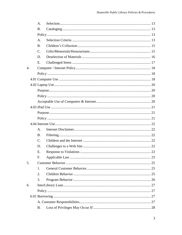|                  | $\mathsf{A}$ . |  |
|------------------|----------------|--|
|                  | <b>B.</b>      |  |
|                  |                |  |
|                  | $A_{\cdot}$    |  |
|                  | <b>B.</b>      |  |
|                  | $C_{\cdot}$    |  |
|                  | D.             |  |
|                  | Е.             |  |
| $\overline{4}$ . |                |  |
|                  |                |  |
|                  |                |  |
|                  |                |  |
|                  |                |  |
|                  |                |  |
|                  |                |  |
|                  |                |  |
|                  |                |  |
|                  |                |  |
|                  |                |  |
|                  | $A_{\cdot}$    |  |
|                  | <b>B.</b>      |  |
|                  | $C_{\cdot}$    |  |
|                  | D.             |  |
|                  | Ε.             |  |
|                  | F.             |  |
| 5.               |                |  |
|                  | 1.             |  |
|                  | 2.             |  |
|                  | 3.             |  |
| 6.               |                |  |
|                  |                |  |
|                  |                |  |
|                  |                |  |
|                  | B.             |  |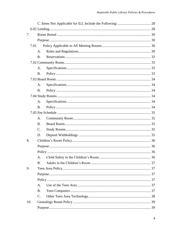| 7.  |      |                |  |
|-----|------|----------------|--|
|     |      |                |  |
|     | 7.01 |                |  |
|     |      | $A_{\cdot}$    |  |
|     |      | <b>B.</b>      |  |
|     |      |                |  |
|     |      | A.             |  |
|     |      | B.             |  |
|     |      |                |  |
|     |      | A.             |  |
|     |      | <b>B.</b>      |  |
|     |      |                |  |
|     |      | A.             |  |
|     |      | <b>B.</b>      |  |
|     |      |                |  |
|     |      | A.             |  |
|     |      | <b>B.</b>      |  |
|     |      | $\mathbf{C}$ . |  |
|     |      | D.             |  |
| 8.  |      |                |  |
|     |      |                |  |
|     |      |                |  |
|     |      | A.             |  |
|     |      | <b>B.</b>      |  |
| 9.  |      |                |  |
|     |      |                |  |
|     |      |                |  |
|     |      | A.             |  |
|     |      | B.             |  |
|     |      | $\mathbf{C}$ . |  |
| 10. |      |                |  |
|     |      |                |  |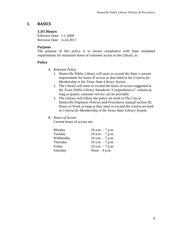# <span id="page-5-1"></span><span id="page-5-0"></span>**1. BASICS**

## **1.01 Hours**

Effective Date: 1-1-2008 Revision Date: 4-24-2017

#### <span id="page-5-2"></span>**Purpose**

The purpose of this policy is to ensure compliance with State mandated requirements for minimum hours of customer access to the Library, to

## <span id="page-5-4"></span><span id="page-5-3"></span>**Policy**

- *A. Relevant Policy*
	- 1. Huntsville Public Library will meet or exceed the State's current requirements for hours of access as described in the *Criteria for Membership in the Texas State Library System*.
	- 2. The Library will meet or exceed the hours of access suggested in the *Texas Public Library Standards* "Comprehensive" column as long as quality customer service can be provided.
	- 3. The Library will follow the policy set forth in *The City of Huntsville Employee Policies and Procedures* manual section III, Hours of Work as long as they meet or exceed the criteria set forth in *Criteria for Membership in the Texas State Library System.*

## <span id="page-5-5"></span>*B. Hours of Access*

Current hours of access are:

| Monday    | 10 a.m. $-7$ p.m. |
|-----------|-------------------|
| Tuesday   | 10 a.m. $-7$ p.m. |
| Wednesday | 10 a.m. $-7$ p.m. |
| Thursday  | 10 a.m. $-7$ p.m. |
| Friday    | 10 a.m. $-7$ p.m. |
| Saturday  | Noon $-4$ p.m.    |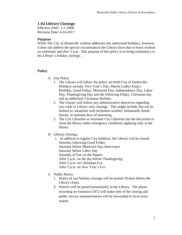# <span id="page-6-0"></span>**1.02 Library Closings**

Effective Date: 1-1-2008 Revision Date: 4-24-2017

#### <span id="page-6-1"></span>**Purpose**

While *The City of Huntsville* website addresses the authorized holidays; however, it does not address the special circumstances the Library faces due to hours worked on weekends and after 5 p.m. This purpose of this policy is to bring consistency to the Library's holiday closings.

## <span id="page-6-3"></span><span id="page-6-2"></span>**Policy**

- *A. City Policy*
	- 1. The Library will follow the policy set forth City of Huntsville. Holidays include: New Year's Day, Martin Luther King's Birthday, Good Friday, Memorial Day, Independence Day, Labor Day, Thanksgiving Day and the following Friday, Christmas day and an additional Christmas Holiday.
	- 2. The Library will follow any administrative directives regarding city-wide or Library only closings. This might include; but not be limited to, situations with inclement weather, biohazards, bomb threats, or national days of mourning.
	- 3. The City Librarian or Assistant City Librarian has the discretion to close the library under emergency conditions applying only to the library.

## <span id="page-6-4"></span>*B. Library Closings*

- 1. In addition to regular City holidays, the Library will be closed: Saturday following Good Friday Saturday before Memorial Day observance Saturday before Labor Day Saturday of Fair on the Square After 5 p.m. on the day before Thanksgiving After 5 p.m. on Christmas Eve After 5 p.m. on New Year's Eve
- <span id="page-6-5"></span>*C. Public Notice*
	- 1. Notice of any holiday closings will be posted 30 days before the Library closes.
	- 2. Notices will be posted prominently in the Library. The phone recording on extension 5472 will make note of the closing and public service announcements will be forwarded to local news outlets.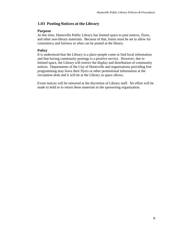# <span id="page-7-0"></span>**1.03 Posting Notices at the Library**

## <span id="page-7-1"></span>**Purpose**

At this time, Huntsville Public Library has limited space to post notices, flyers, and other non-library materials. Because of that, limits must be set to allow for consistency and fairness in what can be posted at the library.

## <span id="page-7-2"></span>**Policy**

It is understood that the Library is a place people come to find local information and that having community postings is a positive service. However, due to limited space, the Library will restrict the display and distribution of community notices. Departments of the City of Huntsville and organizations providing free programming may leave their flyers or other promotional information at the circulation desk and it will be at the Library as space allows.

Event notices will be removed at the discretion of Library staff. No effort will be made to hold or to return these materials to the sponsoring organization.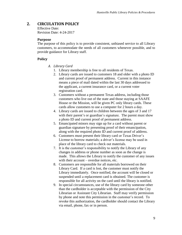# <span id="page-8-0"></span>**2. CIRCULATION POLICY**

Effective Date: Revision Date: 4-24-2017

#### <span id="page-8-1"></span>**Purpose**

The purpose of this policy is to provide consistent, unbiased service to all Library customers, to accommodate the needs of all customers whenever possible, and to provide guidance for Library staff.

## <span id="page-8-3"></span><span id="page-8-2"></span>**Policy**

- *A. Library Card*
	- 1. Library membership is free to all residents of Texas.
	- 2. Library cards are issued to customers 18 and older with a photo ID and current proof of permanent address. Current in this instance means a piece of mail dated within the last 30 days addressed to the applicant, a current insurance card, or a current voter registration card.
	- 3. Customers without a permanent Texas address, including those customers who live out of the state and those staying at SAAFE House or the Mission, will be given PC only library cards. These cards allow customers to use a computer for 2 hours a day.
	- 4. Library cards are issued to children between the ages of 3 and 17 with their parent's or guardian's signature. The parent must show a photo ID and current proof of permanent address.
	- 5. Emancipated minors may sign up for a card without parent or guardian signature by presenting proof of their emancipation, along with the required photo ID and current proof of address.
	- 6. Customers must present their library card or Texas Driver's License to borrow materials; a driver's license may be used in place of the library card to check out materials.
	- 7. It is the customer's responsibility to notify the Library of any changes in address or phone number as soon as the change is made. This allows the Library to notify the customer of any issues with their account – overdue notices, etc.
	- 8. Customers are responsible for all materials borrowed on their Library Card. If a card is lost, the customer must notify the Library immediately. Once notified, the account will be closed or suspended until a replacement card is obtained. The customer is responsible for all activity on the card until the library is notified.
	- 9. In special circumstances, use of the library card by someone other than the cardholder is acceptable with the permission of the City Librarian or Assistant City Librarian. Staff may verify permission by phone and note this permission in the customer's record. To revoke this authorization, the cardholder should contact the Library via email, phone, fax or in person.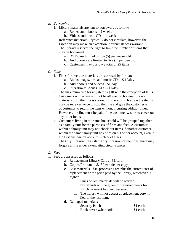- <span id="page-9-0"></span>*B. Borrowing*
	- 1. Library materials are lent to borrowers as follows:
		- a. Books, audiobooks 2 weeks
		- b. Videos and music CDs 1 week
	- 2. Reference materials typically do not circulate; however, the Librarian may make an exception if circumstances warrant.
	- 3. The Library reserves the right to limit the number of items that may be borrowed.
		- a. DVDs are limited to five (5) per household.
		- b. Audiobooks are limited to five (5) per person.
		- **c.** Customers may borrow a total of 25 items.
- <span id="page-9-1"></span>*C. Fines*
	- 1. Fines for overdue materials are assessed by format:
		- a. Books, magazines, and music CDs \$.10/day
		- b. Audiobooks and Videos \$1/day
		- c. Interlibrary Loans (ILLs) \$1/day
	- 2. The maximum fine for any item is \$10 with the exception of ILLs.
	- 3. Customers with a fine will not be allowed to borrow Library materials until the fine is cleared. If there is no hold on the item it may be renewed once to stop the fine and give the customer an opportunity to return the item without incurring addition fines. However, the fine must be paid if the customer wishes to check out any other items.
	- 4. Customers living in the same household will be grouped together as a family unit for the purposes of fines and fees. A customer within a family unit may not check out items if another customer within the same family unit has fines on his or her account, even if the first customer's account is clear of fines.
	- 5. The City Librarian, Assistant City Librarian or their designate may forgive a fine under extenuating circumstances.
- <span id="page-9-2"></span>*D. Fees*
- 1. Fees are assessed as follows:
	- a. Replacement Library Cards \$1/card
	- b. Copies/Printouts \$.15/per side per copy
	- c. Lost materials \$10 processing fee plus the current cost of replacement or the price paid by the library, whichever is higher.
		- i. Fines on lost materials will be waived.
		- ii. No refunds will be given for returned items for which payment has been received.
		- iii. The library will not accept a replacement copy in lieu of the lost item.
	- d. Damaged materials:
		- i. Security Patch \$1 each
		- ii. Book cover w/bar code \$1 each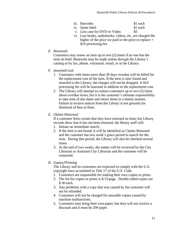- iii. Barcodes \$1 each
- iv. Spine label \$1 each
- v. Lost case for DVD or Video \$5
- vi. Lost books, audiobooks, videos, etc. are charged the higher of the price we paid or the price to replace + \$10 processing fee.
- <span id="page-10-0"></span>*E. Renewals*

Customers may renew an item up to two (2) times if no one has the item on hold. Renewals may be made online through the Library's catalog or by fax, phone, voicemail, email, or at the Library.

- <span id="page-10-1"></span>*F. Assumed Lost*
	- 1. Customers with items more than 30 days overdue will be billed for the replacement cost of the item. If the item is later found and returned to the Library, the charges will not be dropped. A \$10 processing fee will be assessed in addition to the replacement cost.
	- 2. The Library will attempt to contact customers up to two (2) times about overdue items, but it is the customer's ultimate responsibility to take note of due dates and return items in a timely manner. Failure to receive notices from the Library is not grounds for dismissal of fees or fines.

# <span id="page-10-2"></span>*G. Claims Returned*

If a customer feels certain that they have returned an item; but Library records show that it has not been returned, the library staff will:

- 1. Initiate an immediate search.
- 2. If the item is not found, it will be identified as Claims Returned and the customer has two week's grace period to search for the item. During that period, the Library will also be checked several times.
- 3. At the end of two weeks, the matter will be reviewed by the City Librarian or Assistant City Librarian and the customer will be contacted.

# <span id="page-10-3"></span>*H. Copies/Printing*

The Library and its customers are expected to comply with the U.S. copyright laws as outlined in Title 17 of the U.S. Code.

- 1. Customers are responsible for making their own copies or prints.
- 2. The fee for copies or prints is \$.15/page. Double-sided copies are \$.30 each.
- 3. Any problems with a copy that was caused by the customer will not be refunded.
- 4. Customers will not be charged for unusable copies caused by machine malfunctions.
- 5. Customers may bring their own paper; but they will not receive a discount and it must be 20# paper.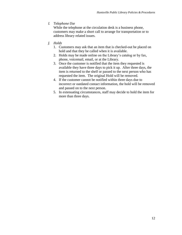<span id="page-11-0"></span>*I. Telephone Use*

While the telephone at the circulation desk is a business phone, customers may make a short call to arrange for transportation or to address library related issues.

- <span id="page-11-1"></span>*J. Holds*
	- 1. Customers may ask that an item that is checked-out be placed on hold and that they be called when it is available.
	- 2. Holds may be made online on the Library's catalog or by fax, phone, voicemail, email, or at the Library.
	- 3. Once the customer is notified that the item they requested is available they have three days to pick it up. After three days, the item is returned to the shelf or passed to the next person who has requested the item. The original Hold will be removed.
	- 4. If the customer cannot be notified within three days due to incorrect or outdated contact information, the hold will be removed and passed on to the next person.
	- 5. In extenuating circumstances, staff may decide to hold the item for more than three days.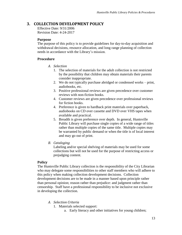# <span id="page-12-0"></span>**3. COLLECTION DEVELOPMENT POLICY**

Effective Date: 9/31/2006 Revision Date: 4-24-2017

## <span id="page-12-1"></span>**Purpose**

The purpose of this policy is to provide guidelines for day-to-day acquisition and withdrawal decisions, resource allocation, and long range planning of collection needs in accordance with the Library's mission.

## <span id="page-12-3"></span><span id="page-12-2"></span>**Procedure**

- *A. Selection*
	- 1. The selection of materials for the adult collection is not restricted by the possibility that children may obtain materials their parents consider inappropriate.
	- 2. We do not typically purchase abridged or condensed works print, audiobooks, etc.
	- 3. Positive professional reviews are given precedence over customer reviews with non-fiction books.
	- 4. Customer reviews are given precedence over professional reviews for fiction books.
	- 4. Preference is given to hardback print materials over paperback, audiobooks on CD over cassette and DVD over VHS tapes when available and practical.
	- 5. Breadth is given preference over depth. In general, Huntsville Public Library will purchase single copies of a wide range of titles rather than multiple copies of the same title. Multiple copies may be warranted by public demand or when the title is of local interest and may go out of print.
- <span id="page-12-4"></span>*B. Cataloging*

Labeling and/or special shelving of materials may be used for some collections but will not be used for the purpose of restricting access or prejudging content.

## <span id="page-12-5"></span>**Policy**

The Huntsville Public Library collection is the responsibility of the City Librarian who may delegate some responsibilities to other staff members who will adhere to this policy when making collection development decisions. Collection development decisions are to be made in a manner based upon principle rather than personal opinion; reason rather than prejudice: and judgment rather than censorship. Staff have a professional responsibility to be inclusive not exclusive in developing the collection.

- <span id="page-12-6"></span>*A. Selection Criteria*
	- 1. Materials selected support:
		- a. Early literacy and other initiatives for young children;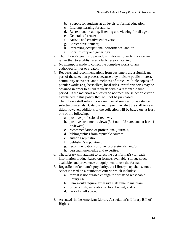- b. Support for students at all levels of formal education;
- c. Lifelong learning for adults;
- d. Recreational reading, listening and viewing for all ages;
- e. General reference;
- f. Artistic and creative endeavors;
- g. Career development;
- h. Improving occupational performance; and/or
- i. Local history and genealogy.
- 2. The Library's goal is to provide an information/reference center rather than to establish a scholarly research center.
- 3. No attempt is made to collect the complete works of any author/performer or creator.
- 4. Requests and recommendations from customers are a significant part of the selection process because they indicate public interest, community relevance, and timeliness of topic. Multiple copies of popular works (e.g. bestsellers, local titles, award winners) may be obtained in order to fulfill requests within a reasonable time period. If the materials requested do not meet the selection criteria established in this policy they will not be purchased.
- 5. The Library staff relies upon a number of sources for assistance in selecting materials. Catalogs and flyers may alert the staff to new titles; however, additions to the collection will be based on at least one of the following:
	- a. positive professional reviews,
	- b. positive customer reviews  $(3 \frac{1}{2})$  out of 5 stars; and at least 4 reviewers),
	- c. recommendation of professional journals,
	- d. bibliographies from reputable sources,
	- e. author's reputation,
	- f. publisher's reputation,
	- g. recommendations of other professionals, and/or
	- h. personal knowledge and expertise.
- 6. The Library will attempt to select the best format(s) for each information product based on formats available, storage space available, and prevalence of equipment to use the format.
- 7. Regardless of an item's popularity, the Library may choose not to select it based on a number of criteria which includes:
	- a. format is not durable enough to withstand reasonable library use;
	- b. item would require excessive staff time to maintain;
	- c. price is high, in relation to total budget; and/or
	- d. lack of shelf space.
- 8. As stated in the American Library Association's Library Bill of Rights: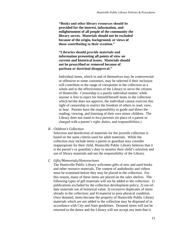**"Books and other library resources should be provided for the interest, information, and enlightenment of all people of the community the library serves. Materials should not be excluded because of the origin, background, or views of those contributing to their creation."**

**"Libraries should provide materials and information presenting all points of view on current and historical issues. Materials should not be proscribed or removed because of partisan or doctrinal disapproval."**

Individual items, which in and of themselves may be controversial or offensive to some customers, may be selected if their inclusion will contribute to the range of viewpoints in the collection as a whole and to the effectiveness of the Library to serve the citizens of Huntsville. Censorship is a purely individual matter; while anyone is free to reject for himself/herself items in the collection which he/she does not approve, the individual cannot exercise this right of censorship to restrict the freedom of others to read, view, or hear. Parents have the responsibility to guide and direct the reading, viewing, and listening of their own minor children. The Library does not stand in *loco parentis* (in place of a parent or charged with a parent's right, duties, and responsibilities.)

<span id="page-14-0"></span>*B. Children's Collection*

Selection and deselection of materials for the juvenile collection is based on the same criteria used for adult materials. While the collection may include items a parent or guardian may consider inappropriate for their child, Huntsville Public Library believes that it is the parent's or guardian's duty to monitor their child's selection and use of library materials and not the responsibility of the Library.

#### <span id="page-14-1"></span>*C. Gifts/Memorials/Honorariums*

The Huntsville Public Library welcomes gifts of new and used books and other resource materials. The content of audiobooks and videos must be examined before they may be placed in the collection. For this reason, many of these items are placed on the sales shelves. The following types of gift materials will not be added to the collection: 1) publications excluded by the collection development policy; 2) out-ofdate materials not of historical value; 3) excessive duplicates of items already in the collection; and 4) material in poor physical condition. Once donated, items become the property of Huntsville Public Library materials which are not added to the collection may be disposed of in accordance with City and State guidelines. Donated items will not be returned to the donor and the Library will not accept any item that is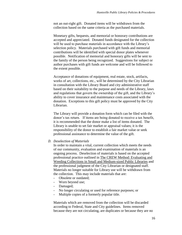not an out-right gift. Donated items will be withdrawn from the collection based on the same criteria as the purchased materials.

Monetary gifts, bequests, and memorial or honorary contributions are accepted and appreciated. Donated funds designated for the collection will be used to purchase materials in accordance with the Library's selection policy. Materials purchased with gift funds and memorial contributions will be identified with special donor plates whenever possible. Notification of memorial and honorary gifts will be sent to the family of the person being recognized. Suggestions for subject or author purchases with gift funds are welcome and will be followed to the extent possible.

Acceptance of donations of equipment, real estate, stock, artifacts, works of art, collections, etc., will be determined by the City Librarian in consultation with the Library Board and city administrative staff based on their suitability to the purpose and needs of the Library, laws and regulations that govern the ownership of the gift, and the Library's ability to cover insurance and maintenance costs associated with the donation. Exceptions to this gift policy must be approved by the City Librarian.

The Library will provide a donation form which can be filed with the donor's tax return. If items are being donated to receive a tax benefit, it is recommended that the donor make a list of items donated. The Library is unable to set fair market or appraisal values; it is the responsibility of the donor to establish a fair market value or seek professional assistance to determine the value of the gift.

<span id="page-15-0"></span>*D. Deselection of Materials*

In order to maintain a vital, current collection which meets the needs of our community, evaluation and examination of materials is an ongoing process. Deselection of materials is based on the accepted professional practice outlined in The CREW Method: Evaluating and Weeding Collections in Small and Medium-sized Public Libraries and the professional judgment of the City Librarian or designated staff. Materials no longer suitable for Library use will be withdrawn from the collection. This may include materials that are:

- Obsolete or outdated;
- Worn beyond use;
- Damaged;
- No longer circulating or used for reference purposes; or
- Multiple copies of a formerly popular title.

Materials which are removed from the collection will be discarded according to Federal, State and City guidelines. Items removed because they are not circulating, are duplicates or because they are no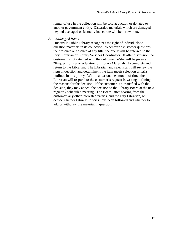longer of use in the collection will be sold at auction or donated to another government entity. Discarded materials which are damaged beyond use, aged or factually inaccurate will be thrown out.

<span id="page-16-0"></span>*E. Challenged Items*

Huntsville Public Library recognizes the right of individuals to question materials in its collection. Whenever a customer questions the presence or absence of any title, the query will be referred to the City Librarian or Library Services Coordinator. If after discussion the customer is not satisfied with the outcome, he/she will be given a "Request for Reconsideration of Library Materials" to complete and return to the Librarian. The Librarian and select staff will review the item in question and determine if the item meets selection criteria outlined in this policy. Within a reasonable amount of time, the Librarian will respond to the customer's request in writing outlining the reasons for the decision. If the customer is dissatisfied with the decision, they may appeal the decision to the Library Board at the next regularly scheduled meeting. The Board, after hearing from the customer, any other interested parties, and the City Librarian, will decide whether Library Policies have been followed and whether to add or withdraw the material in question.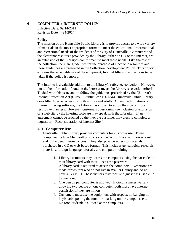# <span id="page-17-0"></span>**4. COMPUTER / INTERNET POLICY**

Effective Date: 09/14/2011 Revision Date: 4-24-2017

#### <span id="page-17-1"></span>**Policy**

The mission of the Huntsville Public Library is to provide access to a wide variety of materials in the most appropriate format to meet the educational, informational and recreational needs of the residents of the City of Huntsville. Computers and the electronic resources provided by the Library, either on CD or the Internet, are an extension of the Library's commitment to meet these needs. Like the rest of the collection, there are guidelines for the purchase of electronic resources and these guidelines are presented in the Collection Development Policy. This policy explains the acceptable use of the equipment, Internet filtering, and actions to be taken if the policy is ignored.

The Internet is a valuable addition to the Library's reference collection. However, not all the information found on the Internet meets the Library's selection criteria. To deal with this issue and to follow the guidelines prescribed by the Children's Internet Protection Act (CIPA  $\sim$  Public Law 106-554), Huntsville Public Library does filter Internet access for both minors and adults. Given the limitations of Internet filtering software, the Library has chosen to err on the side of more restrictive than less. However, customers questioning the inclusion or exclusion of a web site by the filtering software may speak with the Librarian. If an agreement cannot be reached by the two, the customer may elect to complete a request for "Reconsideration of Internet Site."

#### <span id="page-17-2"></span>**4.01 Computer Use**

Huntsville Public Library provides computers for customer use. These computers include Microsoft products such as Word, Excel and PowerPoint and high-speed Internet access. They also provide access to materials purchased in a CD or web-based format. This includes genealogical research materials, foreign language tutorials, and computer training.

- 1. Library customers may access the computers using the bar code on their library card with their PIN as the password.
- 2. A library card is required to access the computers. Exceptions are made for visitors who do not live in Walker County and do not have a Texas ID. These visitors may receive a guest pass usable up to one hour.
- 3. One person per computer is allowed. If circumstances warrant allowing two people on one computer, both must have Internet permission if they are minors.
- 4. Customers must use the equipment with respect; no banging on keyboards, poking the monitor, marking on the computer, etc.
- 5. No food or drink is allowed at the computers.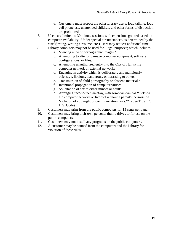- 6. Customers must respect the other Library users; loud talking, loud cell phone use, unattended children, and other forms of distraction are prohibited.
- 7. Users are limited to 30 minute sessions with extensions granted based on computer availability. Under special circumstances, as determined by the staff (testing, writing a resume, etc.) users may request additional time.
- 8. Library computers may not be used for illegal purposes; which includes:
	- a. Viewing nude or pornographic images.\*
	- b. Attempting to alter or damage computer equipment, software configurations, or files.
	- c. Attempting unauthorized entry into the City of Huntsville computer network or external networks
	- d. Engaging in activity which is deliberately and maliciously offensive, libelous, slanderous, or harassing to others.
	- e. Transmission of child pornography or obscene material.\*
	- f. Intentional propagation of computer viruses.
	- g. Solicitation of sex to either minors or adults.
	- h. Arranging face-to-face meeting with someone one has "met" on the computer network or Internet without a parent's permission.
	- i. Violation of copyright or communication laws.\*\* (See Title 17, U.S. Code)
- 9. Customers may print from the public computers for 15 cents per page.
- 10. Customers may bring their own personal thumb drives to for use on the public computers.
- 11. Customers may not install any programs on the public computers.
- 12. A customer may be banned from the computers and the Library for violation of these rules.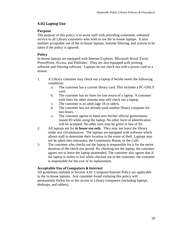# <span id="page-19-0"></span>**4.02 Laptop Use**

# <span id="page-19-1"></span>**Purpose**

The purpose of this policy is to assist staff with providing consistent, unbiased service to all Library customers who wish to use the in-house laptops. It also outlines acceptable use of the in-house laptops, Internet filtering, and actions to be taken if the policy is ignored.

# <span id="page-19-2"></span>**Policy**

In-house laptops are equipped with Internet Explorer, Microsoft Word, Excel, PowerPoint, Access, and Publisher. They are also equipped with printing software and filtering software. Laptops do not check out with a power cord or a mouse.

- 1. A Library customer may check out a laptop if he/she meets the following conditions:
	- a. The customer has a current library card. This includes a PC-ONLY card.
	- b. The customer has no fines for late return of a laptop. A customer with fines for other reasons may still check out a laptop.
	- c. The customer is an adult (age 18 or older).
	- d. The customer has not already used another library computer for two hours.
	- e. The customer agrees to hand over his/her official governmentissued ID while using the laptop. No other form of identification will be accepted. No other item may be given in lieu of ID.
- 2. All laptops are for *in house use only*. They may not leave the library under any circumstances. The laptops are equipped with software which allows staff to determine their location in the event of theft. Laptops may not be taken into restrooms, the Community Room, or the Café.
- 3. The customer who checks out the laptop is responsible for it for the entire duration of the check-out period. By checking out the laptop, the customer agrees not to leave the laptop unattended. The customer also agrees that if the laptop is stolen or lost while checked out to the customer, the customer is responsible for the cost of its replacement.

# <span id="page-19-3"></span>**Acceptable Use of Computers & Internet**

All guidelines outlined in Section 4.01: Computer/Internet Policy are applicable to the in-house laptops. Any customer found violating this policy will permanently forfeit his or her access to Library computers (including laptops, desktops, and tablets).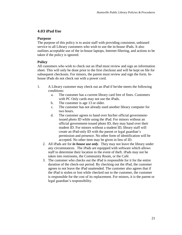# <span id="page-20-0"></span>**4.03 iPad Use**

## <span id="page-20-1"></span>**Purpose**

The purpose of this policy is to assist staff with providing consistent, unbiased service to all Library customers who wish to use the in-house iPads. It also outlines acceptable use of the in-house laptops, Internet filtering, and actions to be taken if the policy is ignored.

# <span id="page-20-2"></span>**Policy**

All customers who wish to check out an iPad must review and sign an information sheet. This will only be done prior to the first checkout and will be kept on file for subsequent checkouts. For minors, the parent must review and sign the form. Inhouse iPads do not check out with a power cord.

- 1. A Library customer may check out an iPad if he/she meets the following conditions:
	- a. The customer has a current library card free of fines. Customers with PC Only cards may not use the iPads.
	- b. The customer is age 13 or older.
	- c. The customer has not already used another library computer for two hours.
	- d. The customer agrees to hand over his/her official governmentissued photo ID while using the iPad. For minors without an official government-issued photo ID, they may hand over their student ID. For minors without a student ID, library staff will create an iPad-only ID with the parent or legal guardian's permission and presence. No other form of identification will be accepted. No other item may be given in lieu of ID.
	- 2. All iPads are for *in house use only*. They may not leave the library under any circumstances. The iPads are equipped with software which allows staff to determine their location in the event of theft. iPads may not be taken into restrooms, the Community Room, or the Café.
	- 3. The customer who checks out the iPad is responsible for it for the entire duration of the check-out period. By checking out the iPad, the customer agrees to not leave the iPad unattended. The customer also agrees that if the iPad is stolen or lost while checked out to the customer, the customer is responsible for the cost of its replacement. For minors, it is the parent or legal guardian's responsibility.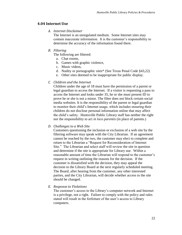# <span id="page-21-1"></span><span id="page-21-0"></span>**4.04 Internet Use**

#### *A. Internet Disclaimer*

The Internet is an unregulated medium. Some Internet sites may contain inaccurate information. It is the customer's responsibility to determine the accuracy of the information found there.

## <span id="page-21-2"></span>*B. Filtering*

The following are filtered:

- a. Chat rooms,
- b. Games with graphic violence,
- c. Music videos,
- d. Nudity or pornographic sites\* (See Texas Penal Code §43,22)
- e. Other sites deemed to be inappropriate for public display.

#### <span id="page-21-3"></span>*C. Children and the Internet*

Children under the age of 18 must have the permission of a parent or legal guardian to access the Internet. If a visitor is requesting a pass to access the Internet and looks under 35, he or she must present ID to prove he or she is not a minor. The filter does not block certain social media websites. It is the responsibility of the parent or legal guardian to monitor their child's Internet usage, which includes ensuring their children do not disclose personal information online that may affect the child's safety. Huntsville Public Library staff has neither the right nor the responsibility to act *in loco parentis* (in place of parents.)

#### <span id="page-21-4"></span>*D. Challenges to a Web Site*

Customers questioning the inclusion or exclusion of a web site by the filtering software may speak with the City Librarian. If an agreement cannot be reached by the two, the customer may elect to complete and return to the Librarian a "Request for Reconsideration of Internet Site." The Librarian and select staff will review the site in question and determine if the site is appropriate for Library use. Within a reasonable amount of time the Librarian will respond to the customer's request in writing outlining the reasons for the decision. If the customer is dissatisfied with the decision, they may appeal the decision to the Library Board at the next regularly scheduled meeting. The Board, after hearing from the customer, any other interested parties, and the City Librarian, will decide whether access to the site should be changed.

#### <span id="page-21-5"></span>*E. Response to Violations*

The customer's access to the Library's computer network and Internet is a privilege, not a right. Failure to comply with the policy and rules stated will result in the forfeiture of the user's access to Library computers.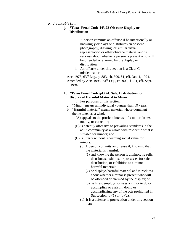## <span id="page-22-0"></span>*F. Applicable Law*

- **j. \*Texas Penal Code §43.22 Obscene Display or Distribution**
	- i. A person commits an offense if he intentionally or knowingly displays or distributes an obscene photography, drawing, or similar visual representation or other obscene material and is reckless about whether a person is present who will be offended or alarmed by the display or distribution.
	- ii. An offense under this section is a Class C misdemeanor.

Acts 1973, 63rd Leg., p. 883, ch. 399, §1, eff. Jan. 1, 1974. Amended by Acts 1993, 73rd Leg., ch. 900, §1.01, eff. Sept. 1, 1994.

# k. **\*Texas Penal Code §43.24. Sale, Distribution, or Display of Harmful Material to Minor.**

i. For purposes of this section:

- a. "Minor" means an individual younger than 18 years.
- b. "Harmful material" means material whose dominant theme taken as a whole:
	- (A) appeals to the prurient interest of a minor, in sex, nudity, or excretion;
	- (B) is patently offensive to prevailing standards in the adult community as a whole with respect to what is suitable for minors; and
	- (C) is utterly without redeeming social value for minors.
		- (b) A person commits an offense if, knowing that the material is harmful:
			- (1) and knowing the person is a minor, he sells, distributes, exhibits, or possesses for sale, distribution, or exhibition to a minor harmful material;
			- (2) he displays harmful material and is reckless about whether a minor is present who will be offended or alarmed by the display; or
			- (3) he hires, employs, or uses a minor to do or accomplish or assist in doing or accomplishing any of the acts prohibited in Subsection  $(b)(1)$  or  $(b)(2)$ .
		- (c) It is a defense to prosecution under this section that: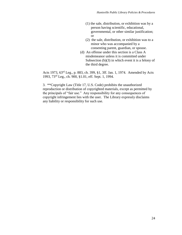- (1) the sale, distribution, or exhibition was by a person having scientific, educational, governmental, or other similar justification; or
- (2) the sale, distribution, or exhibition was to a minor who was accompanied by a consenting parent, guardian, or spouse.
- (d) An offense under this section is a Class A misdemeanor unless it is committed under Subsection (b)(3) in which event it is a felony of the third degree.

Acts 1973, 63rd Leg., p. 883, ch. 399, §1, 3ff. Jan. 1, 1974. Amended by Acts 1993, 73rd Leg., ch. 900, §1.01, eff. Sept. 1, 1994.

3. \*\*Copyright Law (Title 17, U.S. Code) prohibits the unauthorized reproduction or distribution of copyrighted materials, except as permitted by the principals of "fair use." Any responsibility for any consequences of copyright infringement lies with the user. The Library expressly disclaims any liability or responsibility for such use.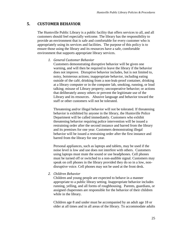# <span id="page-24-0"></span>**5. CUSTOMER BEHAVIOR**

The Huntsville Public Library is a public facility that offers services to all, and all customers should feel especially welcome. The library has the responsibility to provide an environment that is safe and comfortable for every customer who is appropriately using its services and facilities. The purpose of this policy is to ensure those using the library and its resources have a safe, comfortable environment that supports appropriate library services.

#### <span id="page-24-1"></span>*1. General Customer Behavior*

Customers demonstrating disruptive behavior will be given one warning, and will then be required to leave the library if the behavior does not improve. Disruptive behavior includes, but is not limited to, noisy, boisterous actions; inappropriate behavior, including eating outside of the café, drinking from a non-leak-proof container, drinking at a library computer or in the computer lab, smoking, running, or loud talking; misuse of Library property; uncooperative behavior; or actions that deliberately annoy others or prevent the legitimate use of the Library and its resources. Abusive language and behavior toward the staff or other customers will not be tolerated.

Threatening and/or illegal behavior will not be tolerated. If threatening behavior is exhibited by anyone in the library, the Huntsville Police Department will be called immediately. Customers who exhibit threatening behavior requiring police intervention will be issued a restraining order after the second instance and barred from the library and its premises for one year. Customers demonstrating illegal behavior will be issued a restraining order after the first instance and barred from the library for one year.

Personal appliances, such as laptops and tablets, may be used if the noise level is low and use does not interfere with others. Customers using laptops must mute the sound or use headphones. Cell phones must be turned off or switched to a non-audible signal. Customers may speak on cell phones in the library provided they do so in a low, nondisruptive voice. Cell phones may not be used at the front desk.

#### <span id="page-24-2"></span>*2. Children Behavior*

Children and young people are expected to behave in a manner appropriate to a public library setting. Inappropriate behavior includes running, yelling, and all forms of roughhousing. Parents, guardians, or assigned chaperones are responsible for the behavior of their children while in the library.

Children age 8 and under must be accompanied by an adult age 18 or older at all times and in all areas of the library. To accommodate adults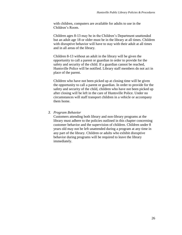with children, computers are available for adults to use in the Children's Room.

Children ages 8-13 may be in the Children's Department unattended but an adult age 18 or older must be in the library at all times. Children with disruptive behavior will have to stay with their adult at all times and in all areas of the library.

Children 8-13 without an adult in the library will be given the opportunity to call a parent or guardian in order to provide for the safety and security of the child. If a guardian cannot be reached, Huntsville Police will be notified. Library staff members do not act in place of the parent.

Children who have not been picked up at closing time will be given the opportunity to call a parent or guardian. In order to provide for the safety and security of the child, children who have not been picked up after closing will be left in the care of Huntsville Police. Under no circumstances will staff transport children in a vehicle or accompany them home.

#### <span id="page-25-0"></span>*3. Program Behavior*

Customers attending both library and non-library programs at the library must adhere to the policies outlined in this chapter concerning customer behavior and the supervision of children. Children under 8 years old may not be left unattended during a program at any time in any part of the library. Children or adults who exhibit disruptive behavior during programs will be required to leave the library immediately.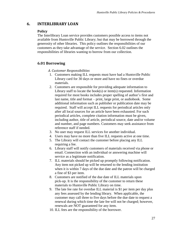# <span id="page-26-1"></span><span id="page-26-0"></span>**6. INTERLIBRARY LOAN**

## **Policy**

The Interlibrary Loan service provides customers possible access to items not available from Huntsville Public Library; but that may be borrowed through the generosity of other libraries. This policy outlines the responsibilities of our customers as they take advantage of the service. Section 6.02 outlines the responsibilities of libraries wanting to borrow from our collection.

# <span id="page-26-3"></span><span id="page-26-2"></span>**6.01 Borrowing**

#### *A. Customer Responsibilities*

- 1. Customers making ILL requests must have had a Huntsville Public Library card for 30 days or more and have no fines or overdue materials.
- 2. Customers are responsible for providing adequate information to Library staff to locate the book(s) or item(s) requested. Information required for most books includes proper spelling of author's first and last name, title and format – print, large print, or audiobook. Some additional information such as publisher or publication date may be required. Staff will accept ILL requests for periodical articles only after all local sources for an article have been exhausted. For such periodical articles, complete citation information must be given, including author, title of article, periodical source, date and/or volume and number, and page numbers. Customers may seek assistance from reference staff if needed.
- 3. No user may request ILL services for another individual.
- 4. Users may have no more than five ILL requests active at one time.
- 5. The Library will contact the customer before placing any ILL requiring a fee.
- 6. Library staff will notify customers of materials received via phone or email. Connection with an individual or answering machine will service as a legitimate notification.
- 7. ILL materials should be picked up promptly following notification. Any item not picked up will be returned to the lending institution when it is within 7 days of the due date and the patron will be charged a fine of \$3 per item.
- 8. Customers are notified of the due date of ILL materials upon pick-up. It is the responsibility of the customer to return these materials to Huntsville Public Library on time.
- 9. The late fee rate for overdue ILL material is \$1 per item per day plus any fees assessed by the lending library. When applicable, the customer may call three to five days before the due date to request a renewal during which time the late fee will not be charged; however, renewals are NOT guaranteed for any item.
- 10. ILL fees are the responsibility of the borrower.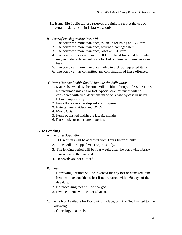- 11. Huntsville Public Library reserves the right to restrict the use of certain ILL items to in-Library use only.
- <span id="page-27-0"></span>*B. Loss of Privileges May Occur If:*
	- 1. The borrower, more than once, is late in returning an ILL item.
	- 2. The borrower, more than once, returns a damaged item.
	- 3. The borrower, more than once, loses an ILL item.
	- 4. The borrower does not pay for all ILL related fines and fees; which may include replacement costs for lost or damaged items, overdue fees.
	- 5. The borrower, more than once, failed to pick up requested items.
	- 6. The borrower has committed any combination of these offenses.

#### <span id="page-27-1"></span>*C. Items Not Applicable for ILL Include the Following:*

- 1. Materials owned by the Huntsville Public Library, unless the items are presumed missing or lost. Special circumstances will be considered with final decisions made on a case by case basis by Library supervisory staff.
- 2. Items that cannot be shipped via TExpress.
- 3. Entertainment videos and DVDs.
- 4. Music CDs.
- 5. Items published within the last six months.
- 6. Rare books or other rare materials.

# <span id="page-27-2"></span>**6.02 Lending**

- A. Lending Stipulations
	- 1. ILL requests will be accepted from Texas libraries only.
	- 2. Items will be shipped via TExpress only.
	- 3. The lending period will be four weeks after the borrowing library has received the material.
	- 4. Renewals are not allowed.
- B. Fees
	- 1. Borrowing libraries will be invoiced for any lost or damaged item. Items will be considered lost if not returned within 60 days of the due date.
	- 2. No processing fees will be charged.
	- 3. Invoiced items will be Net 60 account.
- C. Items Not Available for Borrowing Include, but Are Not Limited to, the Following:
	- 1. Genealogy materials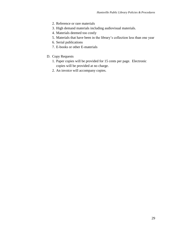- 2. Reference or rare materials
- 3. High demand materials including audiovisual materials.
- 4. Materials deemed too costly
- 5. Materials that have been in the library's collection less than one year
- 6. Serial publications
- 7. E-books or other E-materials
- D. Copy Requests
	- 1. Paper copies will be provided for 15 cents per page. Electronic copies will be provided at no charge.
	- 2. An invoice will accompany copies.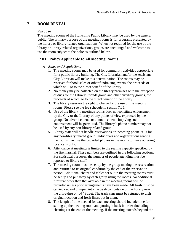# <span id="page-29-1"></span><span id="page-29-0"></span>**7. ROOM RENTAL**

## **Purpose**

The meeting rooms of the Huntsville Public Library may be used by the general public. The primary purpose of the meeting rooms is for programs presented by the library or library-related organizations. When not required for the use of the library or library-related organizations, groups are encouraged and welcome to use the room subject to the policies outlined below.

# <span id="page-29-3"></span><span id="page-29-2"></span>**7.01 Policy Applicable to All Meeting Rooms**

#### *A. Rules and Regulations*

- 1. The meeting rooms may be used for community activities appropriate for a public library building. The City Librarian and/or the Assistant City Librarian will make this determination. The rooms may be reserved for book sales or other fundraising events, the proceeds of which will go to the direct benefit of the library.
- 2. No money may be collected on the library premises with the exception of dues for the Library Friends group and other auxiliary groups, the proceeds of which go to the direct benefit of the library.
- 3. The library reserves the right to charge for the use of the meeting rooms. Please see the fee schedule in section 7.05.
- 4. Use of the library's meetings rooms does not constitute endorsement by the City or the Library of any points of view expressed by the group. No advertisements or announcements implying such endorsement will be permitted. The library's phone number may not be used by any non-library related group.
- 5. Library staff will not handle reservations or incoming phone calls for any non-library related group. Individuals and organizations renting the rooms may use the provided phones in the rooms to make outgoing local calls only.
- 6. Attendance at meetings is limited to the seating capacity specified by the fire marshal. These numbers are outlined in the following sections. For statistical purposes, the number of people attending must be reported to library staff.
- 7. The meeting room must be set up by the group making the reservation and returned to its original condition by the end of the reservation period. Additional chairs and tables set out in the meeting rooms must be set up and put away by each group using the rooms. No additional furniture other than that available in the meeting rooms will be provided unless prior arrangements have been made. All trash must be carried out and dumped into the trash can outside of the library near the drive-thru on  $14<sup>th</sup>$  Street. The trash cans must be returned to their original location and fresh liners put in them.
- 8. The length of time needed for each meeting should include time for setting up the meeting room and putting it back in order (including cleaning) at the end of the meeting. If the meeting extends beyond the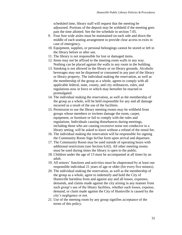scheduled time, library staff will request that the meeting be adjourned. Portions of the deposit may be withheld if the meeting goes past the time allotted. See the fee schedule in section 7.05.

- 9. Four foot wide aisles must be maintained on each side and down the middle of each seating arrangement to provide clear access to exits in case of emergency.
- 10. Equipment, supplies, or personal belongings cannot be stored or left in the library before or after use.
- 11. The library is not responsible for lost or damaged items.
- 12. Items may not be affixed to the meeting room walls in any way. Nothing can be placed against the walls in any room in the building.
- 13. Smoking is not allowed in the library or on library grounds. Alcoholic beverages may not be dispensed or consumed in any part of the library or library property. The individual making the reservation, as well as the membership of the group as a whole, agrees to comply with all applicable federal, state, county, and city ordinances, rules, and regulations now in force or which may hereafter be enacted or promulgated.
- 14. The individual making the reservation, as well as the membership of the group as a whole, will be held responsible for any and all damage incurred as a result of the use of the facilities.
- 15. Permission to use the library meeting rooms may be withheld from groups whose members or invitees damage the room, carpet, equipment, or furniture or fail to comply with the rules and regulations. Individuals causing disturbances during meetings, including those who are causing excessive noise not conducive to a library setting, will be asked to leave without a refund of the rental fee.
- 16. The individual making the reservation will be responsible for signing the Community Room Sign In/Out form upon arrival and departure.
- 17. The Community Room may be used outside of operating hours with additional restrictions (see Section 6.02). All other meeting rooms must be used during times the library is open to the public.
- 18. Children under the age of 13 must be accompanied at all times by an adult.
- 19. All minors' functions and activities must be chaperoned by at least one responsible individual 21 years of age or older (for every five minors).
- 20. The individual making the reservation, as well as the membership of the group as a whole, agree to indemnify and hold the City of Huntsville harmless from and against any and all losses, expenses, demands, and claims made against the city arising in any manner from such group's use of the library facilities, whether such losses, expense, demand, or claim made against the City of Huntsville is caused by the city's negligence or not.
- 21. Use of the meeting room by any group signifies acceptance of the terms of this policy.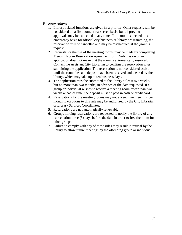- <span id="page-31-0"></span>*B. Reservations*
	- 1. Library-related functions are given first priority. Other requests will be considered on a first-come, first-served basis, but all previous approvals may be cancelled at any time. If the room is needed on an emergency basis for official city business or library programming, the reservation will be cancelled and may be rescheduled at the group's request.
	- 2. Requests for the use of the meeting rooms may be made by completing Meeting Room Reservation Agreement form. Submission of an application does not mean that the room is automatically reserved. Contact the Assistant City Librarian to confirm the reservation after submitting the application. The reservation is not considered active until the room fees and deposit have been received and cleared by the library, which may take up to ten business days.
	- 3. The application must be submitted to the library at least two weeks, but no more than two months, in advance of the date requested. If a group or individual wishes to reserve a meeting room fewer than two weeks ahead of time, the deposit must be paid in cash or credit card.
	- 4. Reservations for the meeting rooms may not exceed two meetings per month. Exceptions to this rule may be authorized by the City Librarian or Library Services Coordinator.
	- 5. Reservations are not automatically renewable.
	- 6. Groups holding reservations are requested to notify the library of any cancellation three (3) days before the date in order to free the room for other groups.
	- 7. Failure to comply with any of these rules may result in refusal by the library to allow future meetings by the offending group or individual.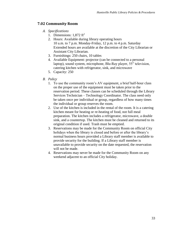# <span id="page-32-1"></span><span id="page-32-0"></span>**7.02 Community Room**

- *A. Specifications*
	- 1. Dimensions:  $1,872 \text{ ft}^2$
	- 2. Hours: Available during library operating hours 10 a.m. to 7 p.m. Monday-Friday, 12 p.m. to 4 p.m. Saturday Extended hours are available at the discretion of the City Librarian or Assistant City Librarian.
	- 3. Furnishings: 250 chairs, 10 tables
	- 4. Available Equipment: projector (can be connected to a personal laptop), sound system, microphone, Blu-Ray player, 55" television, catering kitchen with refrigerator, sink, and microwave
	- 5. Capacity: 250
- <span id="page-32-2"></span>*B. Policy*
	- 1. To use the community room's AV equipment, a brief half-hour class on the proper use of the equipment must be taken prior to the reservation period. These classes can be scheduled through the Library Services Technician – Technology Coordinator. The class need only be taken once per individual or group, regardless of how many times the individual or group reserves the room.
	- 2. Use of the kitchen is included in the rental of the room. It is a catering kitchen meant for heating or re-heating of food, not full meal preparation. The kitchen includes a refrigerator, microwave, a double sink, and a countertop. The kitchen must be cleaned and returned to its original condition if used. Trash must be emptied.
	- 3. Reservations may be made for the Community Room on official City holidays when the library is closed and before or after the library's normal business hours provided a Library staff member is available to provide security for the building. If a Library staff member is unavailable to provide security on the date requested, the reservation will not be made.
	- 4. Reservations may never be made for the Community Room on any weekend adjacent to an official City holiday.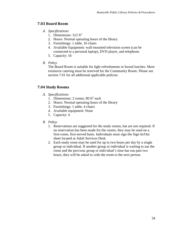# <span id="page-33-1"></span><span id="page-33-0"></span>**7.03 Board Room**

- *A. Specifications*
	- 1. Dimensions:  $312 \text{ ft}^2$
	- 2. Hours: Normal operating hours of the library
	- 3. Furnishings: 1 table, 16 chairs
	- 4. Available Equipment: wall-mounted television screen (can be connected to a personal laptop), DVD player, and telephone.
	- 5. Capacity: 16
- <span id="page-33-2"></span>*B. Policy*

The Board Room is suitable for light refreshments or boxed lunches. More extensive catering must be reserved for the Community Room. Please see section 7.01 for all additional applicable policies.

# <span id="page-33-4"></span><span id="page-33-3"></span>**7.04 Study Rooms**

- *A. Specifications*
	- 1. Dimensions:  $2$  rooms,  $80$  ft<sup>2</sup> each
	- 2. Hours: Normal operating hours of the library
	- 3. Furnishings: 1 table, 4 chairs
	- 4. Available equipment: None
	- 5. Capacity: 4
- <span id="page-33-5"></span>*B. Policy*
	- 1. Reservations are suggested for the study rooms, but are not required. If no reservation has been made for the rooms, they may be used on a first-come, first-served basis. Individuals must sign the Sign In/Out sheet located at Adult Services Desk.
	- 2. Each study room may be used for up to two hours per day by a single group or individual. If another group or individual is waiting to use the room and the previous group or individual's time has run past two hours, they will be asked to cede the room to the next person.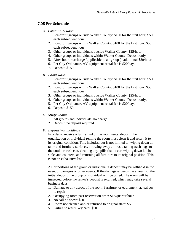# <span id="page-34-1"></span><span id="page-34-0"></span>**7.05 Fee Schedule**

- *A. Community Room*
	- 1. For-profit groups outside Walker County: \$150 for the first hour, \$50 each subsequent hour
	- 2. For-profit groups within Walker County: \$100 for the first hour, \$50 each subsequent hour
	- 3. Other groups or individuals outside Walker County: \$25/hour
	- 4. Other groups or individuals within Walker County: Deposit only
	- 5. After-hours surcharge (applicable to all groups): additional \$30/hour
	- 6. Per City Ordinance, AV equipment rental fee is \$20/day.
	- 7. Deposit: \$150
- <span id="page-34-2"></span>*B. Board Room*
	- 1. For-profit groups outside Walker County: \$150 for the first hour; \$50 each subsequent hour
	- 2. For-profit groups within Walker County: \$100 for the first hour; \$50 each subsequent hour
	- 3. Other groups or individuals outside Walker County: \$25/hour
	- 4. Other groups or individuals within Walker County: Deposit only.
	- 5. Per City Ordinance, AV equipment rental fee is \$20/day.
	- 6. Deposit: \$150

# <span id="page-34-3"></span>*C. Study Rooms*

- 1. All groups and individuals: no charge
- 2. Deposit: no deposit required

# <span id="page-34-4"></span>*D. Deposit Withholdings*

In order to receive a full refund of the room rental deposit, the organization or individual renting the room must clean it and return it to its original condition. This includes, but is not limited to, wiping down all table and furniture surfaces, throwing away all trash, taking trash bags to the outdoor trash can, cleaning any spills that occur, wiping down kitchen sinks and counters, and returning all furniture to its original position. This is not an exhaustive list.

All or portions of the group or individual's deposit may be withheld in the event of damages or other events. If the damage exceeds the amount of the initial deposit, the group or individual will be billed. The room will be inspected before the renter's deposit is returned, which may take several business days.

- 1. Damage to any aspect of the room, furniture, or equipment: actual cost to repair
- 2. Occupying room past reservation time: \$15/quarter hour
- 3. No call no show: \$50
- 4. Room not cleaned and/or returned to original state: \$50
- 5. Failure to return key card: \$50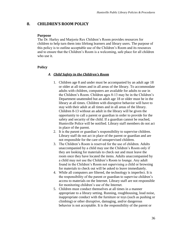# <span id="page-35-1"></span><span id="page-35-0"></span>**8. CHILDREN'S ROOM POLICY**

#### **Purpose**

The Dr. Harley and Marjorie Rex Children's Room provides resources for children to help turn them into lifelong learners and library users. The purpose of this policy is to outline acceptable use of the Children's Room and its resources and to ensure that the Children's Room is a welcoming, safe place for all children who use it.

## <span id="page-35-3"></span><span id="page-35-2"></span>**Policy**

#### *A. Child Safety in the Children's Room*

- 1. Children age 8 and under must be accompanied by an adult age 18 or older at all times and in all areas of the library. To accommodate adults with children, computers are available for adults to use in the Children's Room. Children ages 8-13 may be in the Children's Department unattended but an adult age 18 or older must be in the library at all times. Children with disruptive behavior will have to stay with their adult at all times and in all areas of the library. Children 8-13 without an adult in the library will be given the opportunity to call a parent or guardian in order to provide for the safety and security of the child. If a guardian cannot be reached, Huntsville Police will be notified. Library staff members do not act in place of the parent.
- 2. It is the parent or guardian's responsibility to supervise children. Library staff do not act in place of the parent or guardian and are not responsible for the care of unsupervised children.
- 3. The Children's Room is reserved for the use of children. Adults unaccompanied by a child may use the Children's Room only if they are looking for materials to check out and must leave the room once they have located the items. Adults unaccompanied by a child may not use the Children's Room to lounge. Any adult found in the Children's Room not supervising a child or browsing for materials to check out will be asked to leave immediately.
- 4. While all computers are filtered, the technology is imperfect. It is the responsibility of the parent or guardian to supervise children's access to materials on the Internet. Library staff are not responsible for monitoring children's use of the Internet.
- 5. Children must conduct themselves at all times in a manner appropriate to a library setting. Running, roughhousing, loud noise, inappropriate conduct with the furniture or toys (such as pushing or climbing) or other disruptive, damaging, and/or dangerous behavior is not acceptable. It is the responsibility of the parent or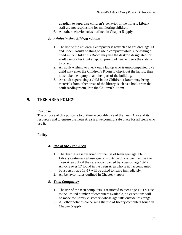guardian to supervise children's behavior in the library. Library staff are not responsible for monitoring children.

6. All other behavior rules outlined in Chapter 5 apply.

## <span id="page-36-0"></span>*B. Adults in the Children's Room*

- 1. The use of the children's computers is restricted to children age 13 and under. Adults wishing to use a computer while supervising a child in the Children's Room may use the desktop designated for adult use or check out a laptop, provided he/she meets the criteria to do so.
- 2. An adult wishing to check out a laptop who is unaccompanied by a child may enter the Children's Room to check out the laptop, then must take the laptop to another part of the building.
- 3. An adult supervising a child in the Children's Room may bring materials from other areas of the library, such as a book from the adult reading room, into the Children's Room.

# <span id="page-36-2"></span><span id="page-36-1"></span>**9. TEEN AREA POLICY**

#### **Purpose**

The purpose of this policy is to outline acceptable use of the Teen Area and its resources and to ensure the Teen Area is a welcoming, safe place for all teens who use it.

# <span id="page-36-4"></span><span id="page-36-3"></span>**Policy**

## *A. Use of the Teen Area*

- 1. The Teen Area is reserved for the use of teenagers age 13-17. Library customers whose age falls outside this range may use the Teen Area only if they are accompanied by a person age 13-17. Anyone over 17 found in the Teen Area who is not accompanied by a person age 13-17 will be asked to leave immediately.
- 2. All behavior rules outlined in Chapter 4 apply.

## <span id="page-36-5"></span>*B. Teen Computers*

- 1. The use of the teen computers is restricted to teens age 13-17. Due to the limited number of computers available, no exceptions will be made for library customers whose age falls outside this range.
- 2. All other policies concerning the use of library computers found in Chapter 5 apply.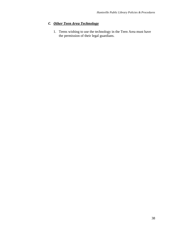# <span id="page-37-0"></span>*C. Other Teen Area Technology*

1. Teens wishing to use the technology in the Teen Area must have the permission of their legal guardians.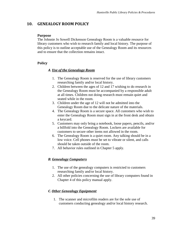# <span id="page-38-1"></span><span id="page-38-0"></span>**10. GENEALOGY ROOM POLICY**

#### **Purpose**

The Johnnie Jo Sowell Dickenson Genealogy Room is a valuable resource for library customers who wish to research family and local history. The purpose of this policy is to outline acceptable use of the Genealogy Room and its resources and to ensure that the collection remains intact.

# <span id="page-38-3"></span><span id="page-38-2"></span>**Policy**

## *A. Use of the Genealogy Room*

- 1. The Genealogy Room is reserved for the use of library customers researching family and/or local history.
- 2. Children between the ages of 12 and 17 wishing to do research in the Genealogy Room must be accompanied by a responsible adult at all times. Children not doing research must remain quiet and seated while in the room.
- 3. Children under the age of 12 will not be admitted into the Genealogy Room due to the delicate nature of the materials.
- 4. The Genealogy Room is a secure space. All customers who wish to enter the Genealogy Room must sign in at the front desk and obtain a keycard.
- 5. Customers may only bring a notebook, loose papers, pencils, and/or a billfold into the Genealogy Room. Lockers are available for customers to secure other items not allowed in the room.
- 6. The Genealogy Room is a quiet room. Any talking should be in a low voice. Cell phones must be set to vibrate or silent, and calls should be taken outside of the room.
- 7. All behavior rules outlined in Chapter 5 apply.

## <span id="page-38-4"></span>*B. Genealogy Computers*

- 1. The use of the genealogy computers is restricted to customers researching family and/or local history.
- 2. All other policies concerning the use of library computers found in Chapter 4 of this policy manual apply.

## <span id="page-38-5"></span>*C. Other Genealogy Equipment*

1. The scanner and microfilm readers are for the sole use of customers conducting genealogy and/or local history research.